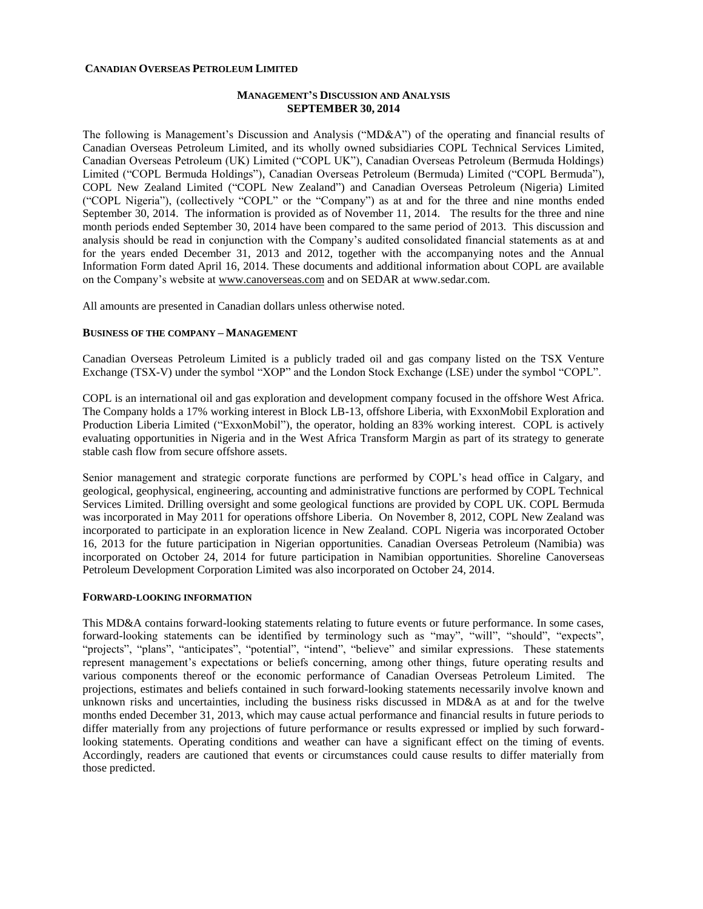#### **CANADIAN OVERSEAS PETROLEUM LIMITED**

### **MANAGEMENT'S DISCUSSION AND ANALYSIS SEPTEMBER 30, 2014**

The following is Management's Discussion and Analysis ("MD&A") of the operating and financial results of Canadian Overseas Petroleum Limited, and its wholly owned subsidiaries COPL Technical Services Limited, Canadian Overseas Petroleum (UK) Limited ("COPL UK"), Canadian Overseas Petroleum (Bermuda Holdings) Limited ("COPL Bermuda Holdings"), Canadian Overseas Petroleum (Bermuda) Limited ("COPL Bermuda"), COPL New Zealand Limited ("COPL New Zealand") and Canadian Overseas Petroleum (Nigeria) Limited ("COPL Nigeria"), (collectively "COPL" or the "Company") as at and for the three and nine months ended September 30, 2014. The information is provided as of November 11, 2014. The results for the three and nine month periods ended September 30, 2014 have been compared to the same period of 2013. This discussion and analysis should be read in conjunction with the Company's audited consolidated financial statements as at and for the years ended December 31, 2013 and 2012, together with the accompanying notes and the Annual Information Form dated April 16, 2014. These documents and additional information about COPL are available on the Company's website at [www.canoverseas.com](http://www.canoverseas.com/) and on SEDAR a[t www.sedar.com.](http://www.sedar.com/)

All amounts are presented in Canadian dollars unless otherwise noted.

#### **BUSINESS OF THE COMPANY – MANAGEMENT**

Canadian Overseas Petroleum Limited is a publicly traded oil and gas company listed on the TSX Venture Exchange (TSX-V) under the symbol "XOP" and the London Stock Exchange (LSE) under the symbol "COPL".

COPL is an international oil and gas exploration and development company focused in the offshore West Africa. The Company holds a 17% working interest in Block LB-13, offshore Liberia, with ExxonMobil Exploration and Production Liberia Limited ("ExxonMobil"), the operator, holding an 83% working interest. COPL is actively evaluating opportunities in Nigeria and in the West Africa Transform Margin as part of its strategy to generate stable cash flow from secure offshore assets.

Senior management and strategic corporate functions are performed by COPL's head office in Calgary, and geological, geophysical, engineering, accounting and administrative functions are performed by COPL Technical Services Limited. Drilling oversight and some geological functions are provided by COPL UK. COPL Bermuda was incorporated in May 2011 for operations offshore Liberia. On November 8, 2012, COPL New Zealand was incorporated to participate in an exploration licence in New Zealand. COPL Nigeria was incorporated October 16, 2013 for the future participation in Nigerian opportunities. Canadian Overseas Petroleum (Namibia) was incorporated on October 24, 2014 for future participation in Namibian opportunities. Shoreline Canoverseas Petroleum Development Corporation Limited was also incorporated on October 24, 2014.

#### **FORWARD-LOOKING INFORMATION**

This MD&A contains forward-looking statements relating to future events or future performance. In some cases, forward-looking statements can be identified by terminology such as "may", "will", "should", "expects", "projects", "plans", "anticipates", "potential", "intend", "believe" and similar expressions. These statements represent management's expectations or beliefs concerning, among other things, future operating results and various components thereof or the economic performance of Canadian Overseas Petroleum Limited. The projections, estimates and beliefs contained in such forward-looking statements necessarily involve known and unknown risks and uncertainties, including the business risks discussed in MD&A as at and for the twelve months ended December 31, 2013, which may cause actual performance and financial results in future periods to differ materially from any projections of future performance or results expressed or implied by such forwardlooking statements. Operating conditions and weather can have a significant effect on the timing of events. Accordingly, readers are cautioned that events or circumstances could cause results to differ materially from those predicted.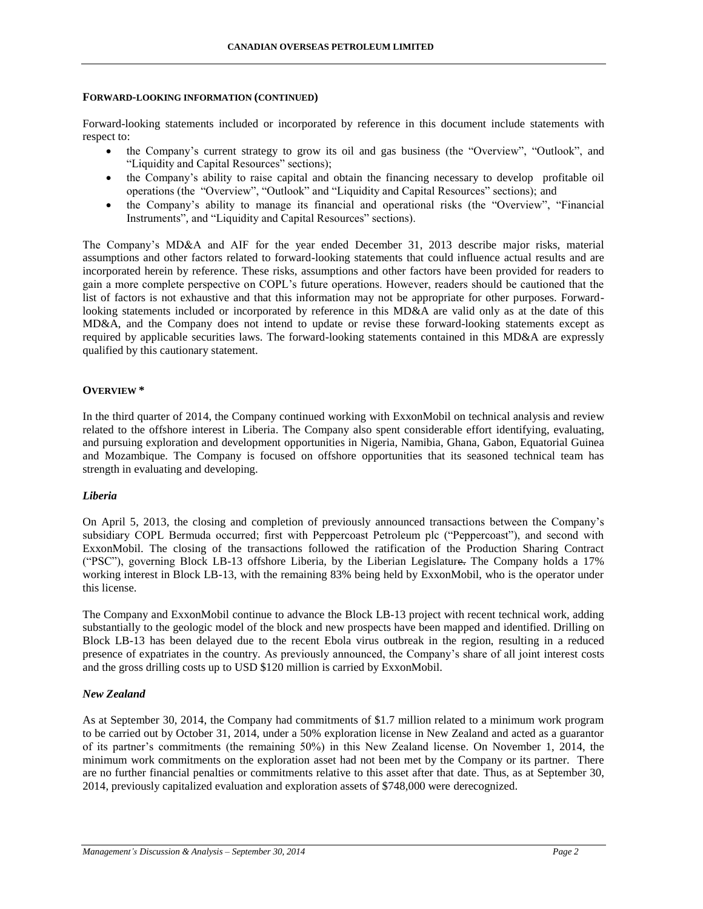### **FORWARD-LOOKING INFORMATION (CONTINUED)**

Forward-looking statements included or incorporated by reference in this document include statements with respect to:

- the Company's current strategy to grow its oil and gas business (the "Overview", "Outlook", and "Liquidity and Capital Resources" sections);
- the Company's ability to raise capital and obtain the financing necessary to develop profitable oil operations (the "Overview", "Outlook" and "Liquidity and Capital Resources" sections); and
- the Company's ability to manage its financial and operational risks (the "Overview", "Financial Instruments", and "Liquidity and Capital Resources" sections).

The Company's MD&A and AIF for the year ended December 31, 2013 describe major risks, material assumptions and other factors related to forward-looking statements that could influence actual results and are incorporated herein by reference. These risks, assumptions and other factors have been provided for readers to gain a more complete perspective on COPL's future operations. However, readers should be cautioned that the list of factors is not exhaustive and that this information may not be appropriate for other purposes. Forwardlooking statements included or incorporated by reference in this MD&A are valid only as at the date of this MD&A, and the Company does not intend to update or revise these forward-looking statements except as required by applicable securities laws. The forward-looking statements contained in this MD&A are expressly qualified by this cautionary statement.

### **OVERVIEW \***

In the third quarter of 2014, the Company continued working with ExxonMobil on technical analysis and review related to the offshore interest in Liberia. The Company also spent considerable effort identifying, evaluating, and pursuing exploration and development opportunities in Nigeria, Namibia, Ghana, Gabon, Equatorial Guinea and Mozambique. The Company is focused on offshore opportunities that its seasoned technical team has strength in evaluating and developing.

### *Liberia*

On April 5, 2013, the closing and completion of previously announced transactions between the Company's subsidiary COPL Bermuda occurred; first with Peppercoast Petroleum plc ("Peppercoast"), and second with ExxonMobil. The closing of the transactions followed the ratification of the Production Sharing Contract ("PSC"), governing Block LB-13 offshore Liberia, by the Liberian Legislature. The Company holds a 17% working interest in Block LB-13, with the remaining 83% being held by ExxonMobil, who is the operator under this license.

The Company and ExxonMobil continue to advance the Block LB-13 project with recent technical work, adding substantially to the geologic model of the block and new prospects have been mapped and identified. Drilling on Block LB-13 has been delayed due to the recent Ebola virus outbreak in the region, resulting in a reduced presence of expatriates in the country. As previously announced, the Company's share of all joint interest costs and the gross drilling costs up to USD \$120 million is carried by ExxonMobil.

### *New Zealand*

As at September 30, 2014, the Company had commitments of \$1.7 million related to a minimum work program to be carried out by October 31, 2014, under a 50% exploration license in New Zealand and acted as a guarantor of its partner's commitments (the remaining 50%) in this New Zealand license. On November 1, 2014, the minimum work commitments on the exploration asset had not been met by the Company or its partner. There are no further financial penalties or commitments relative to this asset after that date. Thus, as at September 30, 2014, previously capitalized evaluation and exploration assets of \$748,000 were derecognized.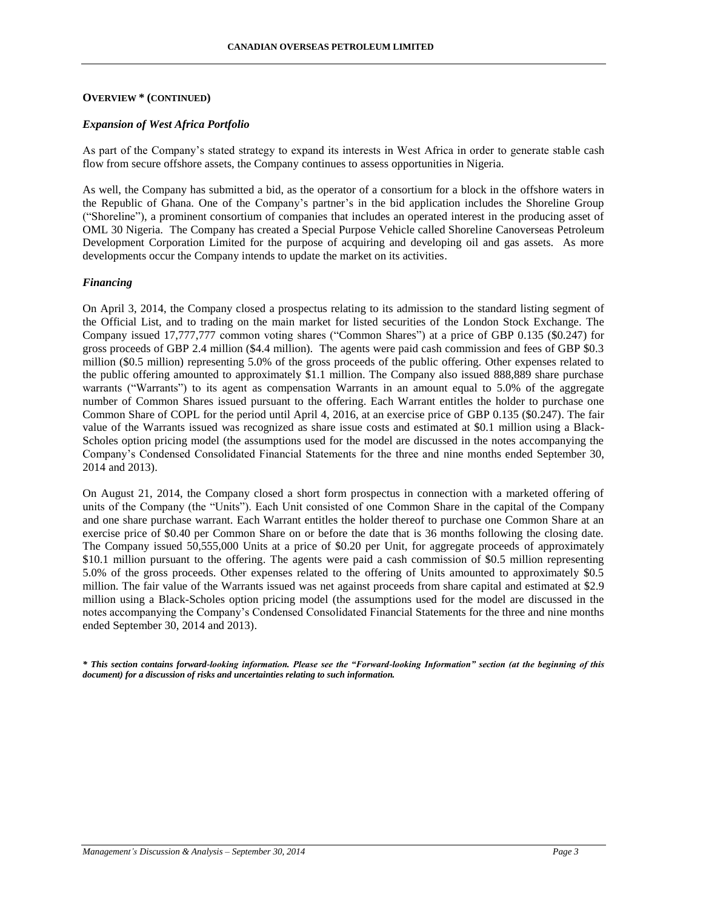#### **OVERVIEW \* (CONTINUED)**

#### *Expansion of West Africa Portfolio*

As part of the Company's stated strategy to expand its interests in West Africa in order to generate stable cash flow from secure offshore assets, the Company continues to assess opportunities in Nigeria.

As well, the Company has submitted a bid, as the operator of a consortium for a block in the offshore waters in the Republic of Ghana. One of the Company's partner's in the bid application includes the Shoreline Group ("Shoreline"), a prominent consortium of companies that includes an operated interest in the producing asset of OML 30 Nigeria. The Company has created a Special Purpose Vehicle called Shoreline Canoverseas Petroleum Development Corporation Limited for the purpose of acquiring and developing oil and gas assets. As more developments occur the Company intends to update the market on its activities.

### *Financing*

On April 3, 2014, the Company closed a prospectus relating to its admission to the standard listing segment of the Official List, and to trading on the main market for listed securities of the London Stock Exchange. The Company issued 17,777,777 common voting shares ("Common Shares") at a price of GBP 0.135 (\$0.247) for gross proceeds of GBP 2.4 million (\$4.4 million). The agents were paid cash commission and fees of GBP \$0.3 million (\$0.5 million) representing 5.0% of the gross proceeds of the public offering. Other expenses related to the public offering amounted to approximately \$1.1 million. The Company also issued 888,889 share purchase warrants ("Warrants") to its agent as compensation Warrants in an amount equal to 5.0% of the aggregate number of Common Shares issued pursuant to the offering. Each Warrant entitles the holder to purchase one Common Share of COPL for the period until April 4, 2016, at an exercise price of GBP 0.135 (\$0.247). The fair value of the Warrants issued was recognized as share issue costs and estimated at \$0.1 million using a Black-Scholes option pricing model (the assumptions used for the model are discussed in the notes accompanying the Company's Condensed Consolidated Financial Statements for the three and nine months ended September 30, 2014 and 2013).

On August 21, 2014, the Company closed a short form prospectus in connection with a marketed offering of units of the Company (the "Units"). Each Unit consisted of one Common Share in the capital of the Company and one share purchase warrant. Each Warrant entitles the holder thereof to purchase one Common Share at an exercise price of \$0.40 per Common Share on or before the date that is 36 months following the closing date. The Company issued 50,555,000 Units at a price of \$0.20 per Unit, for aggregate proceeds of approximately \$10.1 million pursuant to the offering. The agents were paid a cash commission of \$0.5 million representing 5.0% of the gross proceeds. Other expenses related to the offering of Units amounted to approximately \$0.5 million. The fair value of the Warrants issued was net against proceeds from share capital and estimated at \$2.9 million using a Black-Scholes option pricing model (the assumptions used for the model are discussed in the notes accompanying the Company's Condensed Consolidated Financial Statements for the three and nine months ended September 30, 2014 and 2013).

*\* This section contains forward-looking information. Please see the "Forward-looking Information" section (at the beginning of this document) for a discussion of risks and uncertainties relating to such information.*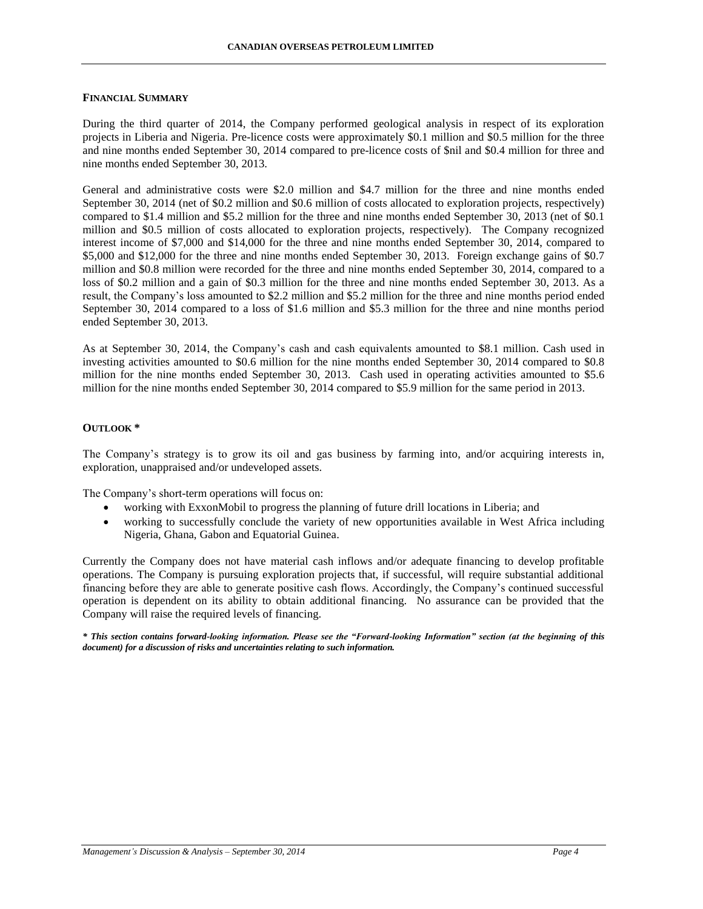### **FINANCIAL SUMMARY**

During the third quarter of 2014, the Company performed geological analysis in respect of its exploration projects in Liberia and Nigeria. Pre-licence costs were approximately \$0.1 million and \$0.5 million for the three and nine months ended September 30, 2014 compared to pre-licence costs of \$nil and \$0.4 million for three and nine months ended September 30, 2013.

General and administrative costs were \$2.0 million and \$4.7 million for the three and nine months ended September 30, 2014 (net of \$0.2 million and \$0.6 million of costs allocated to exploration projects, respectively) compared to \$1.4 million and \$5.2 million for the three and nine months ended September 30, 2013 (net of \$0.1 million and \$0.5 million of costs allocated to exploration projects, respectively). The Company recognized interest income of \$7,000 and \$14,000 for the three and nine months ended September 30, 2014, compared to \$5,000 and \$12,000 for the three and nine months ended September 30, 2013. Foreign exchange gains of \$0.7 million and \$0.8 million were recorded for the three and nine months ended September 30, 2014, compared to a loss of \$0.2 million and a gain of \$0.3 million for the three and nine months ended September 30, 2013. As a result, the Company's loss amounted to \$2.2 million and \$5.2 million for the three and nine months period ended September 30, 2014 compared to a loss of \$1.6 million and \$5.3 million for the three and nine months period ended September 30, 2013.

As at September 30, 2014, the Company's cash and cash equivalents amounted to \$8.1 million. Cash used in investing activities amounted to \$0.6 million for the nine months ended September 30, 2014 compared to \$0.8 million for the nine months ended September 30, 2013. Cash used in operating activities amounted to \$5.6 million for the nine months ended September 30, 2014 compared to \$5.9 million for the same period in 2013.

### **OUTLOOK \***

The Company's strategy is to grow its oil and gas business by farming into, and/or acquiring interests in, exploration, unappraised and/or undeveloped assets.

The Company's short-term operations will focus on:

- working with ExxonMobil to progress the planning of future drill locations in Liberia; and
- working to successfully conclude the variety of new opportunities available in West Africa including Nigeria, Ghana, Gabon and Equatorial Guinea.

Currently the Company does not have material cash inflows and/or adequate financing to develop profitable operations. The Company is pursuing exploration projects that, if successful, will require substantial additional financing before they are able to generate positive cash flows. Accordingly, the Company's continued successful operation is dependent on its ability to obtain additional financing. No assurance can be provided that the Company will raise the required levels of financing.

*\* This section contains forward-looking information. Please see the "Forward-looking Information" section (at the beginning of this document) for a discussion of risks and uncertainties relating to such information.*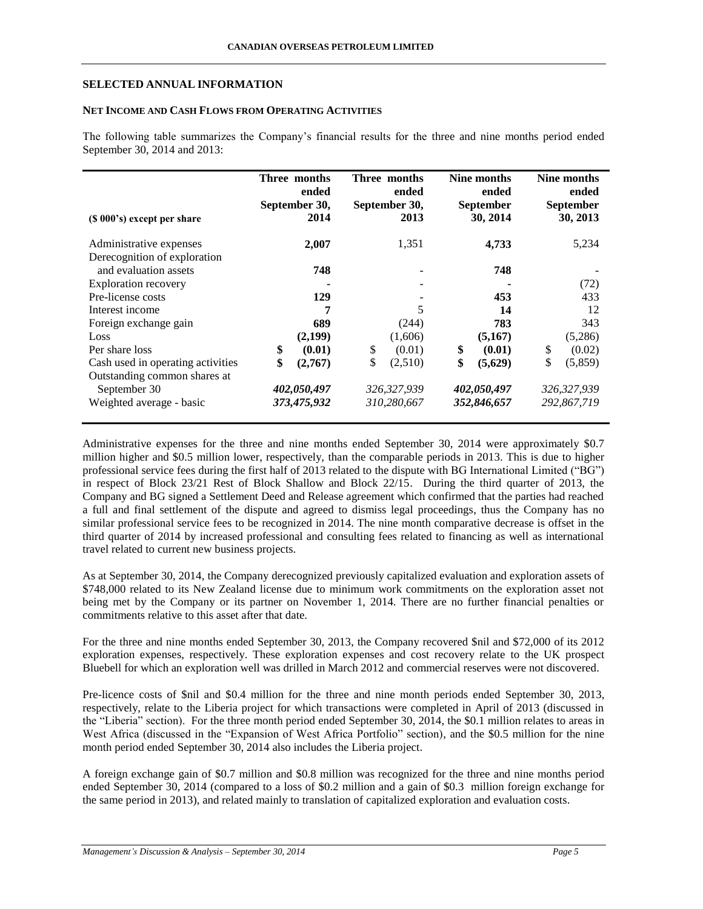### **SELECTED ANNUAL INFORMATION**

## **NET INCOME AND CASH FLOWS FROM OPERATING ACTIVITIES**

The following table summarizes the Company's financial results for the three and nine months period ended September 30, 2014 and 2013:

| (\$\\ 000\, 000\, 000\, 000\, 0.00\, 0.00\, 0.00\, 0.00\, 0.00\, 0.00\, 0.00\, 0.00\, 0.00\, 0.00\, 0.00\, 0.00 | Three months<br>ended<br>September 30,<br>2014 |             | Three months<br>ended<br>September 30,<br>2013 |             | Nine months<br>ended<br><b>September</b><br>30, 2014 |             | Nine months<br>ended<br>September<br>30, 2013 |             |
|-----------------------------------------------------------------------------------------------------------------|------------------------------------------------|-------------|------------------------------------------------|-------------|------------------------------------------------------|-------------|-----------------------------------------------|-------------|
| Administrative expenses                                                                                         |                                                | 2,007       |                                                | 1,351       |                                                      | 4,733       |                                               | 5,234       |
| Derecognition of exploration                                                                                    |                                                |             |                                                |             |                                                      |             |                                               |             |
| and evaluation assets                                                                                           |                                                | 748         |                                                |             |                                                      | 748         |                                               |             |
| <b>Exploration recovery</b>                                                                                     |                                                |             |                                                |             |                                                      |             |                                               | (72)        |
| Pre-license costs                                                                                               |                                                | 129         |                                                |             |                                                      | 453         |                                               | 433         |
| Interest income                                                                                                 |                                                | 7           |                                                | 5           |                                                      | 14          |                                               | 12          |
| Foreign exchange gain                                                                                           |                                                | 689         |                                                | (244)       |                                                      | 783         |                                               | 343         |
| Loss                                                                                                            |                                                | (2,199)     |                                                | (1,606)     |                                                      | (5,167)     |                                               | (5,286)     |
| Per share loss                                                                                                  | \$                                             | (0.01)      | \$                                             | (0.01)      | \$                                                   | (0.01)      | \$                                            | (0.02)      |
| Cash used in operating activities                                                                               | \$                                             | (2,767)     | \$                                             | (2,510)     | \$                                                   | (5,629)     | \$                                            | (5,859)     |
| Outstanding common shares at                                                                                    |                                                |             |                                                |             |                                                      |             |                                               |             |
| September 30                                                                                                    |                                                | 402,050,497 |                                                | 326,327,939 |                                                      | 402,050,497 |                                               | 326,327,939 |
| Weighted average - basic                                                                                        |                                                | 373,475,932 |                                                | 310,280,667 |                                                      | 352,846,657 |                                               | 292,867,719 |

Administrative expenses for the three and nine months ended September 30, 2014 were approximately \$0.7 million higher and \$0.5 million lower, respectively, than the comparable periods in 2013. This is due to higher professional service fees during the first half of 2013 related to the dispute with BG International Limited ("BG") in respect of Block 23/21 Rest of Block Shallow and Block 22/15. During the third quarter of 2013, the Company and BG signed a Settlement Deed and Release agreement which confirmed that the parties had reached a full and final settlement of the dispute and agreed to dismiss legal proceedings, thus the Company has no similar professional service fees to be recognized in 2014. The nine month comparative decrease is offset in the third quarter of 2014 by increased professional and consulting fees related to financing as well as international travel related to current new business projects.

As at September 30, 2014, the Company derecognized previously capitalized evaluation and exploration assets of \$748,000 related to its New Zealand license due to minimum work commitments on the exploration asset not being met by the Company or its partner on November 1, 2014. There are no further financial penalties or commitments relative to this asset after that date.

For the three and nine months ended September 30, 2013, the Company recovered \$nil and \$72,000 of its 2012 exploration expenses, respectively. These exploration expenses and cost recovery relate to the UK prospect Bluebell for which an exploration well was drilled in March 2012 and commercial reserves were not discovered.

Pre-licence costs of \$nil and \$0.4 million for the three and nine month periods ended September 30, 2013, respectively, relate to the Liberia project for which transactions were completed in April of 2013 (discussed in the "Liberia" section). For the three month period ended September 30, 2014, the \$0.1 million relates to areas in West Africa (discussed in the "Expansion of West Africa Portfolio" section), and the \$0.5 million for the nine month period ended September 30, 2014 also includes the Liberia project.

A foreign exchange gain of \$0.7 million and \$0.8 million was recognized for the three and nine months period ended September 30, 2014 (compared to a loss of \$0.2 million and a gain of \$0.3 million foreign exchange for the same period in 2013), and related mainly to translation of capitalized exploration and evaluation costs.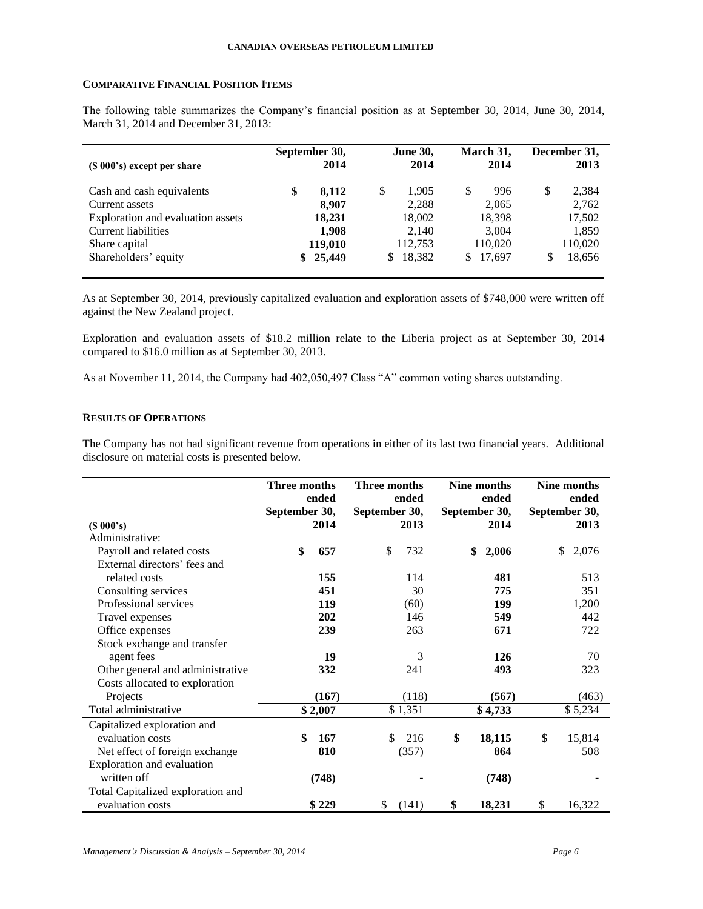### **COMPARATIVE FINANCIAL POSITION ITEMS**

The following table summarizes the Company's financial position as at September 30, 2014, June 30, 2014, March 31, 2014 and December 31, 2013:

| $(S 000's)$ except per share      | September 30,<br>2014 |         | <b>June 30,</b><br>2014 |         | March 31,<br>2014 |         | December 31,<br>2013 |         |
|-----------------------------------|-----------------------|---------|-------------------------|---------|-------------------|---------|----------------------|---------|
| Cash and cash equivalents         | \$                    | 8,112   | \$                      | 1,905   |                   | 996     | \$                   | 2,384   |
| Current assets                    |                       | 8.907   |                         | 2,288   |                   | 2,065   |                      | 2,762   |
| Exploration and evaluation assets |                       | 18,231  |                         | 18,002  |                   | 18,398  |                      | 17,502  |
| Current liabilities               |                       | 1,908   |                         | 2,140   |                   | 3,004   |                      | 1,859   |
| Share capital                     |                       | 119,010 |                         | 112.753 |                   | 110,020 |                      | 110,020 |
| Shareholders' equity              | \$                    | 25,449  | S.                      | 18.382  | S.                | 17,697  | S                    | 18,656  |

As at September 30, 2014, previously capitalized evaluation and exploration assets of \$748,000 were written off against the New Zealand project.

Exploration and evaluation assets of \$18.2 million relate to the Liberia project as at September 30, 2014 compared to \$16.0 million as at September 30, 2013.

As at November 11, 2014, the Company had 402,050,497 Class "A" common voting shares outstanding.

## **RESULTS OF OPERATIONS**

The Company has not had significant revenue from operations in either of its last two financial years. Additional disclosure on material costs is presented below.

|                                   | Three months<br>ended |         | <b>Three months</b><br>ended |         | Nine months<br>ended |         | Nine months<br>ended |               |
|-----------------------------------|-----------------------|---------|------------------------------|---------|----------------------|---------|----------------------|---------------|
|                                   | September 30,         |         | September 30,                |         | September 30,        |         |                      | September 30, |
| $(S\ 000's)$                      |                       | 2014    |                              | 2013    |                      | 2014    |                      | 2013          |
| Administrative:                   |                       |         |                              |         |                      |         |                      |               |
| Payroll and related costs         | \$                    | 657     | \$                           | 732     | \$                   | 2,006   |                      | 2,076<br>\$   |
| External directors' fees and      |                       |         |                              |         |                      |         |                      |               |
| related costs                     |                       | 155     |                              | 114     |                      | 481     |                      | 513           |
| Consulting services               |                       | 451     |                              | 30      |                      | 775     |                      | 351           |
| Professional services             |                       | 119     |                              | (60)    |                      | 199     |                      | 1,200         |
| Travel expenses                   |                       | 202     |                              | 146     |                      | 549     |                      | 442           |
| Office expenses                   |                       | 239     |                              | 263     |                      | 671     |                      | 722           |
| Stock exchange and transfer       |                       |         |                              |         |                      |         |                      |               |
| agent fees                        |                       | 19      |                              | 3       |                      | 126     |                      | 70            |
| Other general and administrative  |                       | 332     |                              | 241     |                      | 493     |                      | 323           |
| Costs allocated to exploration    |                       |         |                              |         |                      |         |                      |               |
| Projects                          |                       | (167)   |                              | (118)   |                      | (567)   |                      | (463)         |
| Total administrative              |                       | \$2,007 |                              | \$1,351 |                      | \$4,733 |                      | \$5,234       |
| Capitalized exploration and       |                       |         |                              |         |                      |         |                      |               |
| evaluation costs                  | \$                    | 167     | \$                           | 216     | \$                   | 18,115  | \$                   | 15,814        |
| Net effect of foreign exchange    |                       | 810     |                              | (357)   |                      | 864     |                      | 508           |
| Exploration and evaluation        |                       |         |                              |         |                      |         |                      |               |
| written off                       |                       | (748)   |                              |         |                      | (748)   |                      |               |
| Total Capitalized exploration and |                       |         |                              |         |                      |         |                      |               |
| evaluation costs                  |                       | \$229   | \$                           | (141)   | \$                   | 18,231  | \$                   | 16,322        |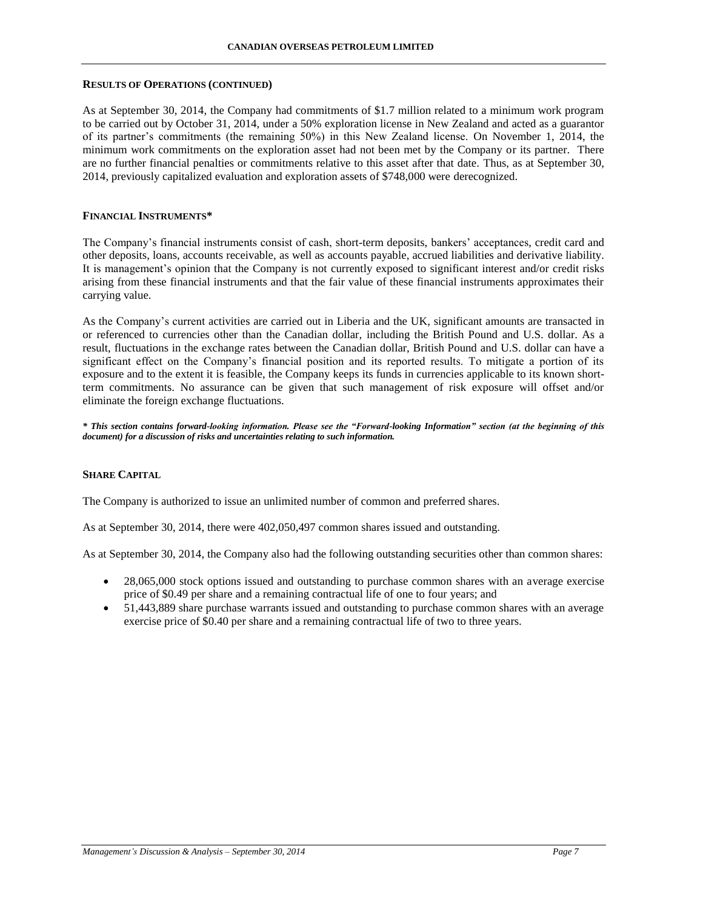#### **RESULTS OF OPERATIONS (CONTINUED)**

As at September 30, 2014, the Company had commitments of \$1.7 million related to a minimum work program to be carried out by October 31, 2014, under a 50% exploration license in New Zealand and acted as a guarantor of its partner's commitments (the remaining 50%) in this New Zealand license. On November 1, 2014, the minimum work commitments on the exploration asset had not been met by the Company or its partner. There are no further financial penalties or commitments relative to this asset after that date. Thus, as at September 30, 2014, previously capitalized evaluation and exploration assets of \$748,000 were derecognized.

### **FINANCIAL INSTRUMENTS\***

The Company's financial instruments consist of cash, short-term deposits, bankers' acceptances, credit card and other deposits, loans, accounts receivable, as well as accounts payable, accrued liabilities and derivative liability. It is management's opinion that the Company is not currently exposed to significant interest and/or credit risks arising from these financial instruments and that the fair value of these financial instruments approximates their carrying value.

As the Company's current activities are carried out in Liberia and the UK, significant amounts are transacted in or referenced to currencies other than the Canadian dollar, including the British Pound and U.S. dollar. As a result, fluctuations in the exchange rates between the Canadian dollar, British Pound and U.S. dollar can have a significant effect on the Company's financial position and its reported results. To mitigate a portion of its exposure and to the extent it is feasible, the Company keeps its funds in currencies applicable to its known shortterm commitments. No assurance can be given that such management of risk exposure will offset and/or eliminate the foreign exchange fluctuations.

*\* This section contains forward-looking information. Please see the "Forward-looking Information" section (at the beginning of this document) for a discussion of risks and uncertainties relating to such information.*

### **SHARE CAPITAL**

The Company is authorized to issue an unlimited number of common and preferred shares.

As at September 30, 2014, there were 402,050,497 common shares issued and outstanding.

As at September 30, 2014, the Company also had the following outstanding securities other than common shares:

- 28,065,000 stock options issued and outstanding to purchase common shares with an average exercise price of \$0.49 per share and a remaining contractual life of one to four years; and
- 51,443,889 share purchase warrants issued and outstanding to purchase common shares with an average exercise price of \$0.40 per share and a remaining contractual life of two to three years.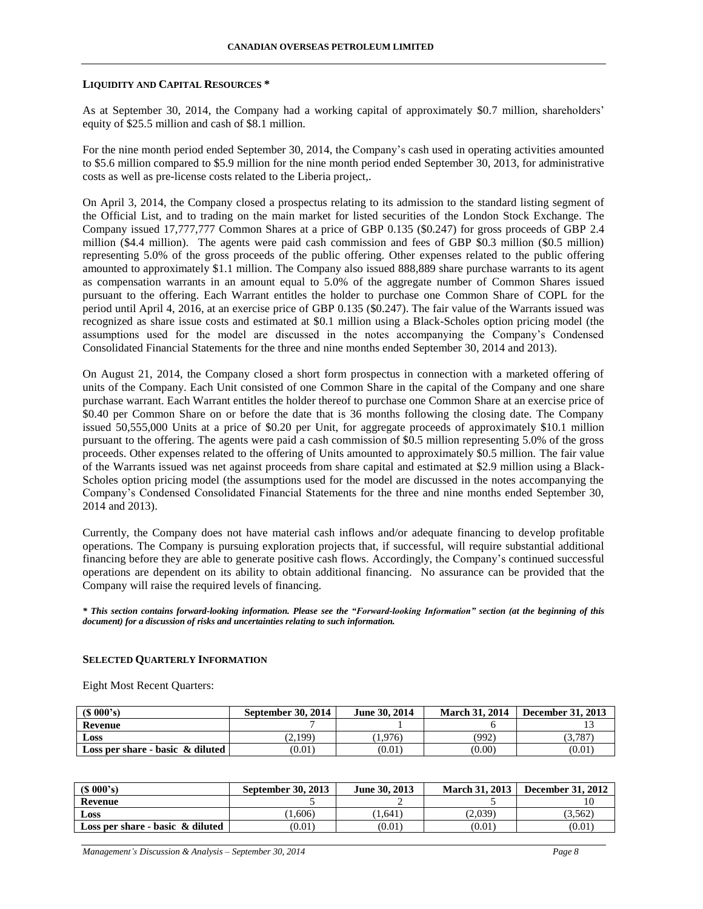#### **LIQUIDITY AND CAPITAL RESOURCES \***

As at September 30, 2014, the Company had a working capital of approximately \$0.7 million, shareholders' equity of \$25.5 million and cash of \$8.1 million.

For the nine month period ended September 30, 2014, the Company's cash used in operating activities amounted to \$5.6 million compared to \$5.9 million for the nine month period ended September 30, 2013, for administrative costs as well as pre-license costs related to the Liberia project,.

On April 3, 2014, the Company closed a prospectus relating to its admission to the standard listing segment of the Official List, and to trading on the main market for listed securities of the London Stock Exchange. The Company issued 17,777,777 Common Shares at a price of GBP 0.135 (\$0.247) for gross proceeds of GBP 2.4 million (\$4.4 million). The agents were paid cash commission and fees of GBP \$0.3 million (\$0.5 million) representing 5.0% of the gross proceeds of the public offering. Other expenses related to the public offering amounted to approximately \$1.1 million. The Company also issued 888,889 share purchase warrants to its agent as compensation warrants in an amount equal to 5.0% of the aggregate number of Common Shares issued pursuant to the offering. Each Warrant entitles the holder to purchase one Common Share of COPL for the period until April 4, 2016, at an exercise price of GBP 0.135 (\$0.247). The fair value of the Warrants issued was recognized as share issue costs and estimated at \$0.1 million using a Black-Scholes option pricing model (the assumptions used for the model are discussed in the notes accompanying the Company's Condensed Consolidated Financial Statements for the three and nine months ended September 30, 2014 and 2013).

On August 21, 2014, the Company closed a short form prospectus in connection with a marketed offering of units of the Company. Each Unit consisted of one Common Share in the capital of the Company and one share purchase warrant. Each Warrant entitles the holder thereof to purchase one Common Share at an exercise price of \$0.40 per Common Share on or before the date that is 36 months following the closing date. The Company issued 50,555,000 Units at a price of \$0.20 per Unit, for aggregate proceeds of approximately \$10.1 million pursuant to the offering. The agents were paid a cash commission of \$0.5 million representing 5.0% of the gross proceeds. Other expenses related to the offering of Units amounted to approximately \$0.5 million. The fair value of the Warrants issued was net against proceeds from share capital and estimated at \$2.9 million using a Black-Scholes option pricing model (the assumptions used for the model are discussed in the notes accompanying the Company's Condensed Consolidated Financial Statements for the three and nine months ended September 30, 2014 and 2013).

Currently, the Company does not have material cash inflows and/or adequate financing to develop profitable operations. The Company is pursuing exploration projects that, if successful, will require substantial additional financing before they are able to generate positive cash flows. Accordingly, the Company's continued successful operations are dependent on its ability to obtain additional financing. No assurance can be provided that the Company will raise the required levels of financing.

*\* This section contains forward-looking information. Please see the "Forward-looking Information" section (at the beginning of this document) for a discussion of risks and uncertainties relating to such information.*

#### **SELECTED QUARTERLY INFORMATION**

Eight Most Recent Quarters:

| $(S\ 000's)$                        | <b>September 30, 2014</b> | June 30, 2014 | <b>March 31, 2014</b> | <b>December 31, 2013</b> |
|-------------------------------------|---------------------------|---------------|-----------------------|--------------------------|
| Revenue                             |                           |               |                       |                          |
| <b>Loss</b>                         | (2,199)                   | 1,976         | (992)                 | .5,787                   |
| Loss per share - basic $\&$ diluted | (0.01)                    | (0.01)        | (0.00)                | (0.01                    |

| $(S\ 000's)$                     | September 30, 2013 | June 30, 2013 | March 31, 2013 | <b>December 31, 2012</b> |
|----------------------------------|--------------------|---------------|----------------|--------------------------|
| <b>Revenue</b>                   |                    |               |                |                          |
| Loss                             | 1,606              | 1.641         | (2,039)        | 3.562                    |
| Loss per share - basic & diluted | (0.01)             | (0.01)        | (0.01          | (0.01)                   |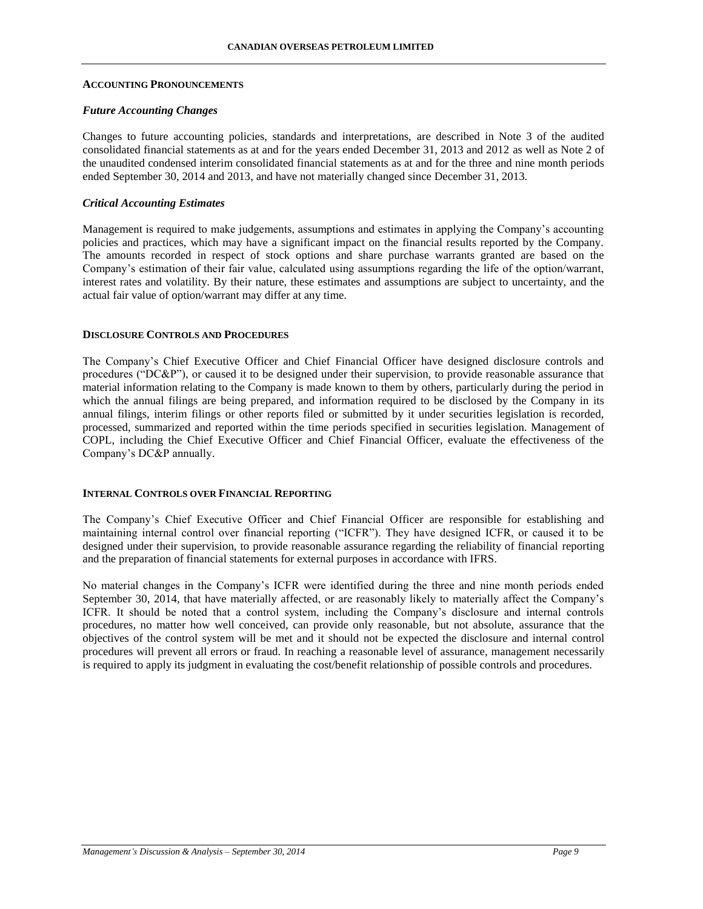#### **ACCOUNTING PRONOUNCEMENTS**

#### *Future Accounting Changes*

Changes to future accounting policies, standards and interpretations, are described in Note 3 of the audited consolidated financial statements as at and for the years ended December 31, 2013 and 2012 as well as Note 2 of the unaudited condensed interim consolidated financial statements as at and for the three and nine month periods ended September 30, 2014 and 2013, and have not materially changed since December 31, 2013.

#### *Critical Accounting Estimates*

Management is required to make judgements, assumptions and estimates in applying the Company's accounting policies and practices, which may have a significant impact on the financial results reported by the Company. The amounts recorded in respect of stock options and share purchase warrants granted are based on the Company's estimation of their fair value, calculated using assumptions regarding the life of the option/warrant, interest rates and volatility. By their nature, these estimates and assumptions are subject to uncertainty, and the actual fair value of option/warrant may differ at any time.

#### **DISCLOSURE CONTROLS AND PROCEDURES**

The Company's Chief Executive Officer and Chief Financial Officer have designed disclosure controls and procedures ("DC&P"), or caused it to be designed under their supervision, to provide reasonable assurance that material information relating to the Company is made known to them by others, particularly during the period in which the annual filings are being prepared, and information required to be disclosed by the Company in its annual filings, interim filings or other reports filed or submitted by it under securities legislation is recorded, processed, summarized and reported within the time periods specified in securities legislation. Management of COPL, including the Chief Executive Officer and Chief Financial Officer, evaluate the effectiveness of the Company's DC&P annually.

#### **INTERNAL CONTROLS OVER FINANCIAL REPORTING**

The Company's Chief Executive Officer and Chief Financial Officer are responsible for establishing and maintaining internal control over financial reporting ("ICFR"). They have designed ICFR, or caused it to be designed under their supervision, to provide reasonable assurance regarding the reliability of financial reporting and the preparation of financial statements for external purposes in accordance with IFRS.

No material changes in the Company's ICFR were identified during the three and nine month periods ended September 30, 2014, that have materially affected, or are reasonably likely to materially affect the Company's ICFR. It should be noted that a control system, including the Company's disclosure and internal controls procedures, no matter how well conceived, can provide only reasonable, but not absolute, assurance that the objectives of the control system will be met and it should not be expected the disclosure and internal control procedures will prevent all errors or fraud. In reaching a reasonable level of assurance, management necessarily is required to apply its judgment in evaluating the cost/benefit relationship of possible controls and procedures.